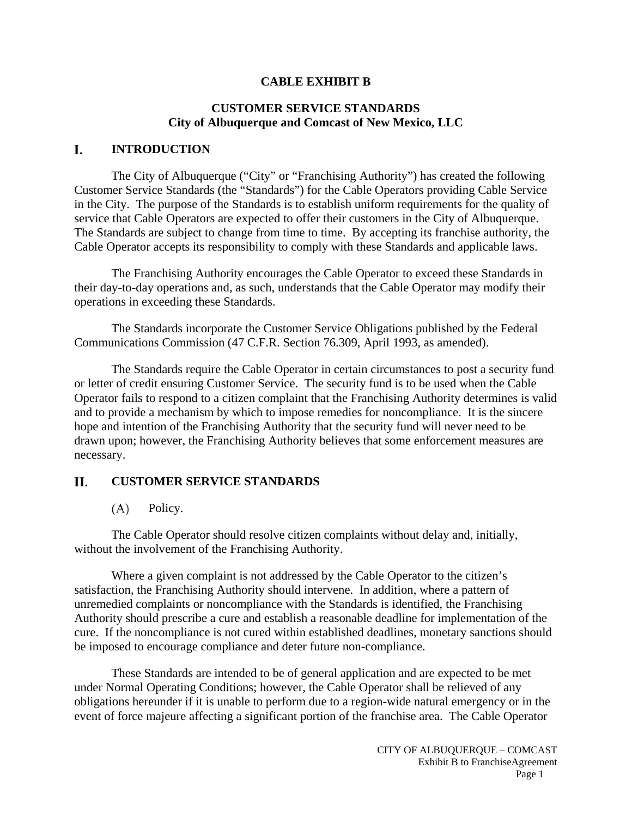## **CABLE EXHIBIT B**

# **CUSTOMER SERVICE STANDARDS City of Albuquerque and Comcast of New Mexico, LLC**

#### L. **INTRODUCTION**

The City of Albuquerque ("City" or "Franchising Authority") has created the following Customer Service Standards (the "Standards") for the Cable Operators providing Cable Service in the City. The purpose of the Standards is to establish uniform requirements for the quality of service that Cable Operators are expected to offer their customers in the City of Albuquerque. The Standards are subject to change from time to time. By accepting its franchise authority, the Cable Operator accepts its responsibility to comply with these Standards and applicable laws.

The Franchising Authority encourages the Cable Operator to exceed these Standards in their day-to-day operations and, as such, understands that the Cable Operator may modify their operations in exceeding these Standards.

The Standards incorporate the Customer Service Obligations published by the Federal Communications Commission (47 C.F.R. Section 76.309, April 1993, as amended).

The Standards require the Cable Operator in certain circumstances to post a security fund or letter of credit ensuring Customer Service. The security fund is to be used when the Cable Operator fails to respond to a citizen complaint that the Franchising Authority determines is valid and to provide a mechanism by which to impose remedies for noncompliance. It is the sincere hope and intention of the Franchising Authority that the security fund will never need to be drawn upon; however, the Franchising Authority believes that some enforcement measures are necessary.

#### Н. **CUSTOMER SERVICE STANDARDS**

#### $(A)$ Policy.

The Cable Operator should resolve citizen complaints without delay and, initially, without the involvement of the Franchising Authority.

Where a given complaint is not addressed by the Cable Operator to the citizen's satisfaction, the Franchising Authority should intervene. In addition, where a pattern of unremedied complaints or noncompliance with the Standards is identified, the Franchising Authority should prescribe a cure and establish a reasonable deadline for implementation of the cure. If the noncompliance is not cured within established deadlines, monetary sanctions should be imposed to encourage compliance and deter future non-compliance.

These Standards are intended to be of general application and are expected to be met under Normal Operating Conditions; however, the Cable Operator shall be relieved of any obligations hereunder if it is unable to perform due to a region-wide natural emergency or in the event of force majeure affecting a significant portion of the franchise area. The Cable Operator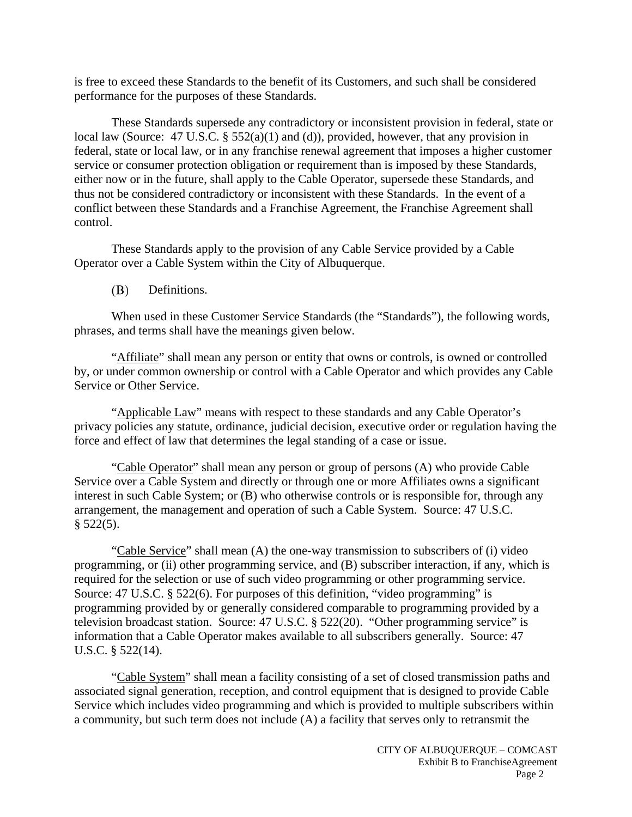is free to exceed these Standards to the benefit of its Customers, and such shall be considered performance for the purposes of these Standards.

These Standards supersede any contradictory or inconsistent provision in federal, state or local law (Source: 47 U.S.C. § 552(a)(1) and (d)), provided, however, that any provision in federal, state or local law, or in any franchise renewal agreement that imposes a higher customer service or consumer protection obligation or requirement than is imposed by these Standards, either now or in the future, shall apply to the Cable Operator, supersede these Standards, and thus not be considered contradictory or inconsistent with these Standards. In the event of a conflict between these Standards and a Franchise Agreement, the Franchise Agreement shall control.

These Standards apply to the provision of any Cable Service provided by a Cable Operator over a Cable System within the City of Albuquerque.

(B) Definitions.

When used in these Customer Service Standards (the "Standards"), the following words, phrases, and terms shall have the meanings given below.

"Affiliate" shall mean any person or entity that owns or controls, is owned or controlled by, or under common ownership or control with a Cable Operator and which provides any Cable Service or Other Service.

"Applicable Law" means with respect to these standards and any Cable Operator's privacy policies any statute, ordinance, judicial decision, executive order or regulation having the force and effect of law that determines the legal standing of a case or issue.

"Cable Operator" shall mean any person or group of persons (A) who provide Cable Service over a Cable System and directly or through one or more Affiliates owns a significant interest in such Cable System; or (B) who otherwise controls or is responsible for, through any arrangement, the management and operation of such a Cable System. Source: 47 U.S.C.  $§$  522(5).

"Cable Service" shall mean (A) the one-way transmission to subscribers of (i) video programming, or (ii) other programming service, and (B) subscriber interaction, if any, which is required for the selection or use of such video programming or other programming service. Source: 47 U.S.C. § 522(6). For purposes of this definition, "video programming" is programming provided by or generally considered comparable to programming provided by a television broadcast station. Source: 47 U.S.C. § 522(20). "Other programming service" is information that a Cable Operator makes available to all subscribers generally. Source: 47 U.S.C. § 522(14).

"Cable System" shall mean a facility consisting of a set of closed transmission paths and associated signal generation, reception, and control equipment that is designed to provide Cable Service which includes video programming and which is provided to multiple subscribers within a community, but such term does not include (A) a facility that serves only to retransmit the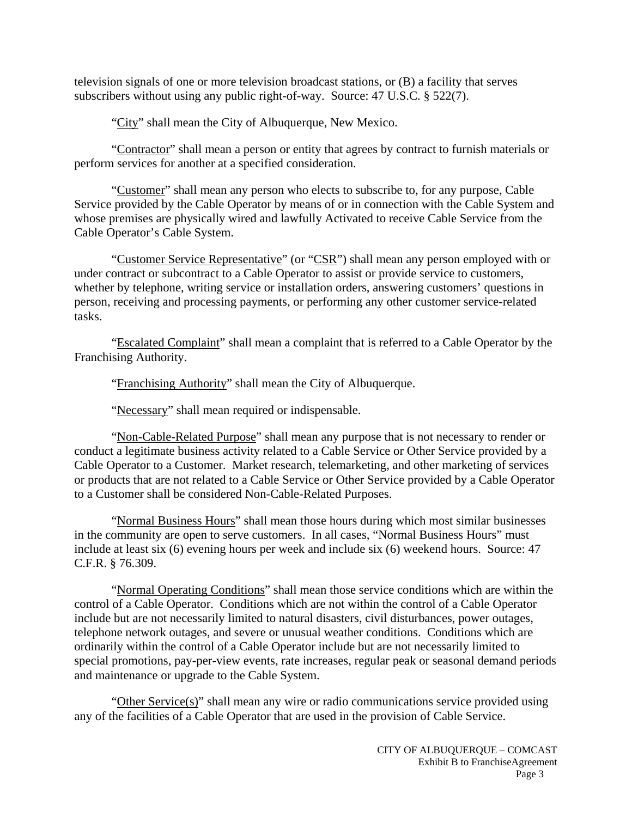television signals of one or more television broadcast stations, or (B) a facility that serves subscribers without using any public right-of-way. Source: 47 U.S.C. § 522(7).

"City" shall mean the City of Albuquerque, New Mexico.

"Contractor" shall mean a person or entity that agrees by contract to furnish materials or perform services for another at a specified consideration.

"Customer" shall mean any person who elects to subscribe to, for any purpose, Cable Service provided by the Cable Operator by means of or in connection with the Cable System and whose premises are physically wired and lawfully Activated to receive Cable Service from the Cable Operator's Cable System.

"Customer Service Representative" (or "CSR") shall mean any person employed with or under contract or subcontract to a Cable Operator to assist or provide service to customers, whether by telephone, writing service or installation orders, answering customers' questions in person, receiving and processing payments, or performing any other customer service-related tasks.

"Escalated Complaint" shall mean a complaint that is referred to a Cable Operator by the Franchising Authority.

"Franchising Authority" shall mean the City of Albuquerque.

"Necessary" shall mean required or indispensable.

"Non-Cable-Related Purpose" shall mean any purpose that is not necessary to render or conduct a legitimate business activity related to a Cable Service or Other Service provided by a Cable Operator to a Customer. Market research, telemarketing, and other marketing of services or products that are not related to a Cable Service or Other Service provided by a Cable Operator to a Customer shall be considered Non-Cable-Related Purposes.

"Normal Business Hours" shall mean those hours during which most similar businesses in the community are open to serve customers. In all cases, "Normal Business Hours" must include at least six (6) evening hours per week and include six (6) weekend hours. Source: 47 C.F.R. § 76.309.

"Normal Operating Conditions" shall mean those service conditions which are within the control of a Cable Operator. Conditions which are not within the control of a Cable Operator include but are not necessarily limited to natural disasters, civil disturbances, power outages, telephone network outages, and severe or unusual weather conditions. Conditions which are ordinarily within the control of a Cable Operator include but are not necessarily limited to special promotions, pay-per-view events, rate increases, regular peak or seasonal demand periods and maintenance or upgrade to the Cable System.

"Other Service(s)" shall mean any wire or radio communications service provided using any of the facilities of a Cable Operator that are used in the provision of Cable Service.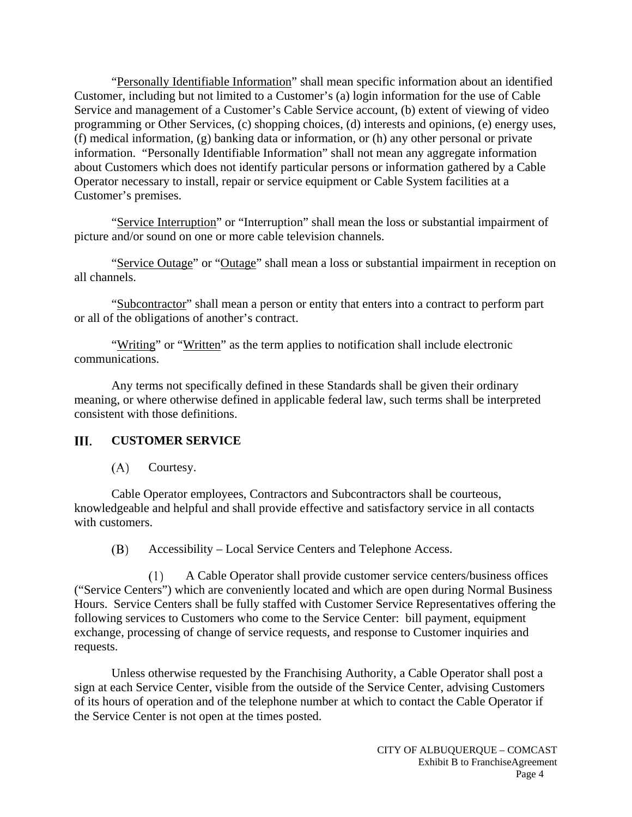"Personally Identifiable Information" shall mean specific information about an identified Customer, including but not limited to a Customer's (a) login information for the use of Cable Service and management of a Customer's Cable Service account, (b) extent of viewing of video programming or Other Services, (c) shopping choices, (d) interests and opinions, (e) energy uses, (f) medical information, (g) banking data or information, or (h) any other personal or private information. "Personally Identifiable Information" shall not mean any aggregate information about Customers which does not identify particular persons or information gathered by a Cable Operator necessary to install, repair or service equipment or Cable System facilities at a Customer's premises.

"Service Interruption" or "Interruption" shall mean the loss or substantial impairment of picture and/or sound on one or more cable television channels.

"Service Outage" or "Outage" shall mean a loss or substantial impairment in reception on all channels.

"Subcontractor" shall mean a person or entity that enters into a contract to perform part or all of the obligations of another's contract.

"Writing" or "Written" as the term applies to notification shall include electronic communications.

Any terms not specifically defined in these Standards shall be given their ordinary meaning, or where otherwise defined in applicable federal law, such terms shall be interpreted consistent with those definitions.

#### III. **CUSTOMER SERVICE**

 $(A)$ Courtesy.

Cable Operator employees, Contractors and Subcontractors shall be courteous, knowledgeable and helpful and shall provide effective and satisfactory service in all contacts with customers.

Accessibility – Local Service Centers and Telephone Access. (B)

 $(1)$ A Cable Operator shall provide customer service centers/business offices ("Service Centers") which are conveniently located and which are open during Normal Business Hours. Service Centers shall be fully staffed with Customer Service Representatives offering the following services to Customers who come to the Service Center: bill payment, equipment exchange, processing of change of service requests, and response to Customer inquiries and requests.

Unless otherwise requested by the Franchising Authority, a Cable Operator shall post a sign at each Service Center, visible from the outside of the Service Center, advising Customers of its hours of operation and of the telephone number at which to contact the Cable Operator if the Service Center is not open at the times posted.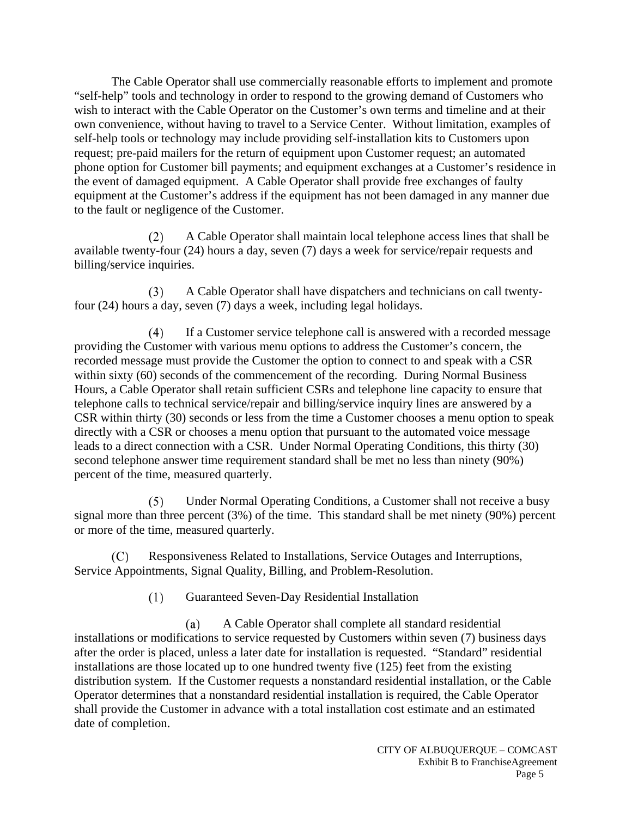The Cable Operator shall use commercially reasonable efforts to implement and promote "self-help" tools and technology in order to respond to the growing demand of Customers who wish to interact with the Cable Operator on the Customer's own terms and timeline and at their own convenience, without having to travel to a Service Center. Without limitation, examples of self-help tools or technology may include providing self-installation kits to Customers upon request; pre-paid mailers for the return of equipment upon Customer request; an automated phone option for Customer bill payments; and equipment exchanges at a Customer's residence in the event of damaged equipment. A Cable Operator shall provide free exchanges of faulty equipment at the Customer's address if the equipment has not been damaged in any manner due to the fault or negligence of the Customer.

 $(2)$ A Cable Operator shall maintain local telephone access lines that shall be available twenty-four (24) hours a day, seven (7) days a week for service/repair requests and billing/service inquiries.

A Cable Operator shall have dispatchers and technicians on call twenty- $(3)$ four (24) hours a day, seven (7) days a week, including legal holidays.

 $(4)$ If a Customer service telephone call is answered with a recorded message providing the Customer with various menu options to address the Customer's concern, the recorded message must provide the Customer the option to connect to and speak with a CSR within sixty (60) seconds of the commencement of the recording. During Normal Business Hours, a Cable Operator shall retain sufficient CSRs and telephone line capacity to ensure that telephone calls to technical service/repair and billing/service inquiry lines are answered by a CSR within thirty (30) seconds or less from the time a Customer chooses a menu option to speak directly with a CSR or chooses a menu option that pursuant to the automated voice message leads to a direct connection with a CSR. Under Normal Operating Conditions, this thirty (30) second telephone answer time requirement standard shall be met no less than ninety (90%) percent of the time, measured quarterly.

Under Normal Operating Conditions, a Customer shall not receive a busy  $(5)$ signal more than three percent (3%) of the time. This standard shall be met ninety (90%) percent or more of the time, measured quarterly.

Responsiveness Related to Installations, Service Outages and Interruptions,  $(C)$ Service Appointments, Signal Quality, Billing, and Problem-Resolution.

> $(1)$ Guaranteed Seven-Day Residential Installation

 $(a)$ A Cable Operator shall complete all standard residential installations or modifications to service requested by Customers within seven (7) business days after the order is placed, unless a later date for installation is requested. "Standard" residential installations are those located up to one hundred twenty five (125) feet from the existing distribution system. If the Customer requests a nonstandard residential installation, or the Cable Operator determines that a nonstandard residential installation is required, the Cable Operator shall provide the Customer in advance with a total installation cost estimate and an estimated date of completion.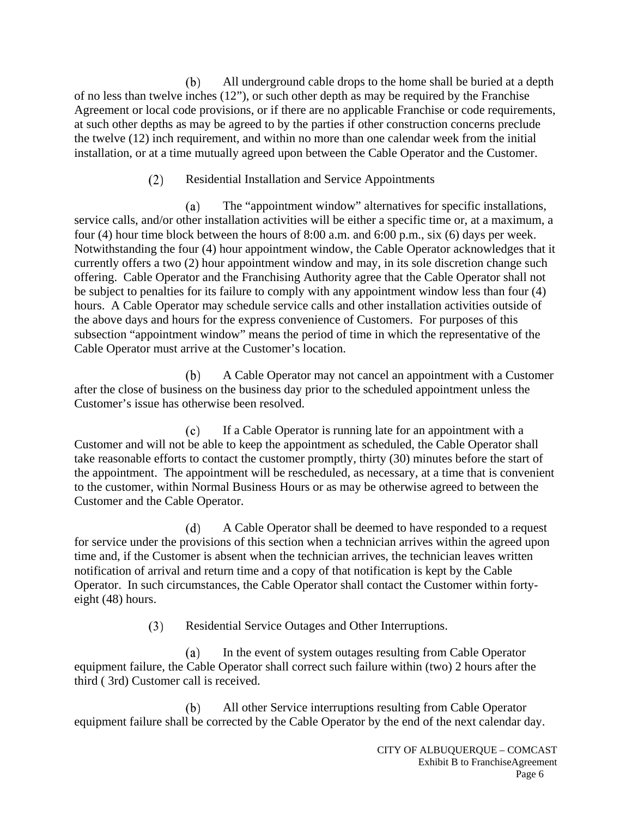All underground cable drops to the home shall be buried at a depth (b) of no less than twelve inches (12"), or such other depth as may be required by the Franchise Agreement or local code provisions, or if there are no applicable Franchise or code requirements, at such other depths as may be agreed to by the parties if other construction concerns preclude the twelve (12) inch requirement, and within no more than one calendar week from the initial installation, or at a time mutually agreed upon between the Cable Operator and the Customer.

## $(2)$ Residential Installation and Service Appointments

The "appointment window" alternatives for specific installations, (a) service calls, and/or other installation activities will be either a specific time or, at a maximum, a four (4) hour time block between the hours of 8:00 a.m. and 6:00 p.m., six (6) days per week. Notwithstanding the four (4) hour appointment window, the Cable Operator acknowledges that it currently offers a two (2) hour appointment window and may, in its sole discretion change such offering. Cable Operator and the Franchising Authority agree that the Cable Operator shall not be subject to penalties for its failure to comply with any appointment window less than four (4) hours. A Cable Operator may schedule service calls and other installation activities outside of the above days and hours for the express convenience of Customers. For purposes of this subsection "appointment window" means the period of time in which the representative of the Cable Operator must arrive at the Customer's location.

A Cable Operator may not cancel an appointment with a Customer (b) after the close of business on the business day prior to the scheduled appointment unless the Customer's issue has otherwise been resolved.

 $(c)$ If a Cable Operator is running late for an appointment with a Customer and will not be able to keep the appointment as scheduled, the Cable Operator shall take reasonable efforts to contact the customer promptly, thirty (30) minutes before the start of the appointment. The appointment will be rescheduled, as necessary, at a time that is convenient to the customer, within Normal Business Hours or as may be otherwise agreed to between the Customer and the Cable Operator.

A Cable Operator shall be deemed to have responded to a request  $(d)$ for service under the provisions of this section when a technician arrives within the agreed upon time and, if the Customer is absent when the technician arrives, the technician leaves written notification of arrival and return time and a copy of that notification is kept by the Cable Operator. In such circumstances, the Cable Operator shall contact the Customer within fortyeight (48) hours.

> $(3)$ Residential Service Outages and Other Interruptions.

In the event of system outages resulting from Cable Operator (a) equipment failure, the Cable Operator shall correct such failure within (two) 2 hours after the third ( 3rd) Customer call is received.

(b) All other Service interruptions resulting from Cable Operator equipment failure shall be corrected by the Cable Operator by the end of the next calendar day.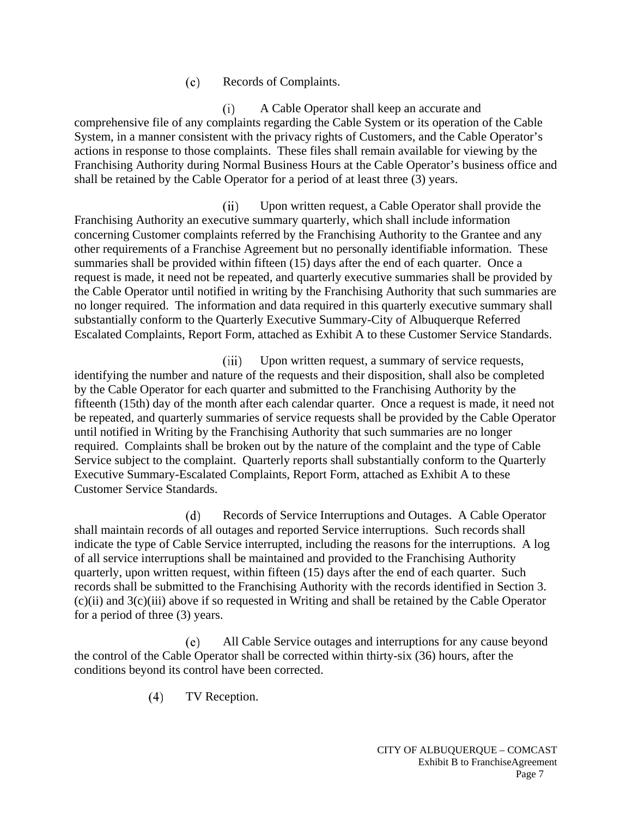#### $(c)$ Records of Complaints.

A Cable Operator shall keep an accurate and  $(i)$ comprehensive file of any complaints regarding the Cable System or its operation of the Cable System, in a manner consistent with the privacy rights of Customers, and the Cable Operator's actions in response to those complaints. These files shall remain available for viewing by the Franchising Authority during Normal Business Hours at the Cable Operator's business office and shall be retained by the Cable Operator for a period of at least three (3) years.

 $(ii)$ Upon written request, a Cable Operator shall provide the Franchising Authority an executive summary quarterly, which shall include information concerning Customer complaints referred by the Franchising Authority to the Grantee and any other requirements of a Franchise Agreement but no personally identifiable information. These summaries shall be provided within fifteen (15) days after the end of each quarter. Once a request is made, it need not be repeated, and quarterly executive summaries shall be provided by the Cable Operator until notified in writing by the Franchising Authority that such summaries are no longer required. The information and data required in this quarterly executive summary shall substantially conform to the Quarterly Executive Summary-City of Albuquerque Referred Escalated Complaints, Report Form, attached as Exhibit A to these Customer Service Standards.

Upon written request, a summary of service requests,  $(iii)$ identifying the number and nature of the requests and their disposition, shall also be completed by the Cable Operator for each quarter and submitted to the Franchising Authority by the fifteenth (15th) day of the month after each calendar quarter. Once a request is made, it need not be repeated, and quarterly summaries of service requests shall be provided by the Cable Operator until notified in Writing by the Franchising Authority that such summaries are no longer required. Complaints shall be broken out by the nature of the complaint and the type of Cable Service subject to the complaint. Quarterly reports shall substantially conform to the Quarterly Executive Summary-Escalated Complaints, Report Form, attached as Exhibit A to these Customer Service Standards.

 $(d)$ Records of Service Interruptions and Outages. A Cable Operator shall maintain records of all outages and reported Service interruptions. Such records shall indicate the type of Cable Service interrupted, including the reasons for the interruptions. A log of all service interruptions shall be maintained and provided to the Franchising Authority quarterly, upon written request, within fifteen (15) days after the end of each quarter. Such records shall be submitted to the Franchising Authority with the records identified in Section 3.  $(c)(ii)$  and  $3(c)(iii)$  above if so requested in Writing and shall be retained by the Cable Operator for a period of three (3) years.

All Cable Service outages and interruptions for any cause beyond (e) the control of the Cable Operator shall be corrected within thirty-six (36) hours, after the conditions beyond its control have been corrected.

> $(4)$ TV Reception.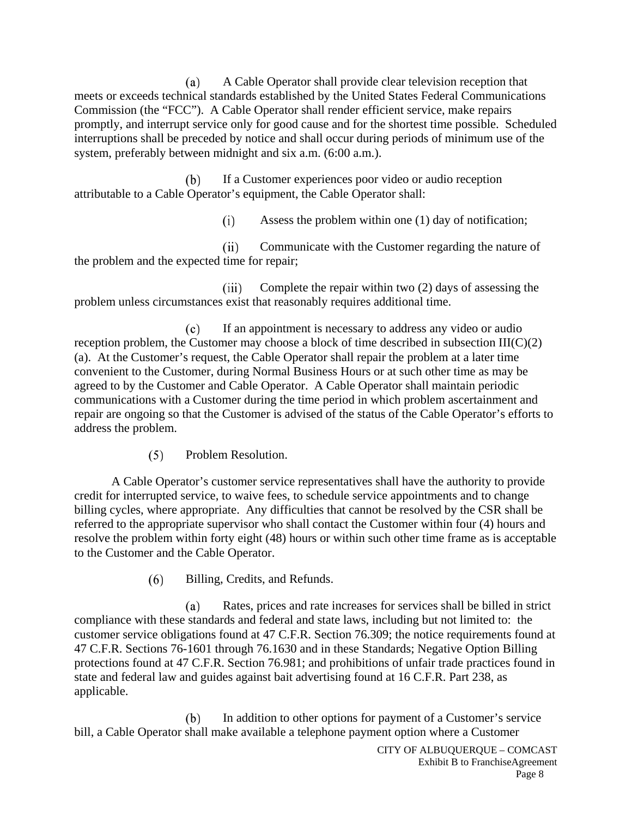A Cable Operator shall provide clear television reception that (a) meets or exceeds technical standards established by the United States Federal Communications Commission (the "FCC"). A Cable Operator shall render efficient service, make repairs promptly, and interrupt service only for good cause and for the shortest time possible. Scheduled interruptions shall be preceded by notice and shall occur during periods of minimum use of the system, preferably between midnight and six a.m. (6:00 a.m.).

(b) If a Customer experiences poor video or audio reception attributable to a Cable Operator's equipment, the Cable Operator shall:

> $(i)$ Assess the problem within one (1) day of notification;

Communicate with the Customer regarding the nature of  $(ii)$ the problem and the expected time for repair;

Complete the repair within two (2) days of assessing the  $(iii)$ problem unless circumstances exist that reasonably requires additional time.

 $(c)$ If an appointment is necessary to address any video or audio reception problem, the Customer may choose a block of time described in subsection III(C)(2) (a). At the Customer's request, the Cable Operator shall repair the problem at a later time convenient to the Customer, during Normal Business Hours or at such other time as may be agreed to by the Customer and Cable Operator. A Cable Operator shall maintain periodic communications with a Customer during the time period in which problem ascertainment and repair are ongoing so that the Customer is advised of the status of the Cable Operator's efforts to address the problem.

> $(5)$ Problem Resolution.

A Cable Operator's customer service representatives shall have the authority to provide credit for interrupted service, to waive fees, to schedule service appointments and to change billing cycles, where appropriate. Any difficulties that cannot be resolved by the CSR shall be referred to the appropriate supervisor who shall contact the Customer within four (4) hours and resolve the problem within forty eight (48) hours or within such other time frame as is acceptable to the Customer and the Cable Operator.

> $(6)$ Billing, Credits, and Refunds.

(a) Rates, prices and rate increases for services shall be billed in strict compliance with these standards and federal and state laws, including but not limited to: the customer service obligations found at 47 C.F.R. Section 76.309; the notice requirements found at 47 C.F.R. Sections 76-1601 through 76.1630 and in these Standards; Negative Option Billing protections found at 47 C.F.R. Section 76.981; and prohibitions of unfair trade practices found in state and federal law and guides against bait advertising found at 16 C.F.R. Part 238, as applicable.

In addition to other options for payment of a Customer's service (b) bill, a Cable Operator shall make available a telephone payment option where a Customer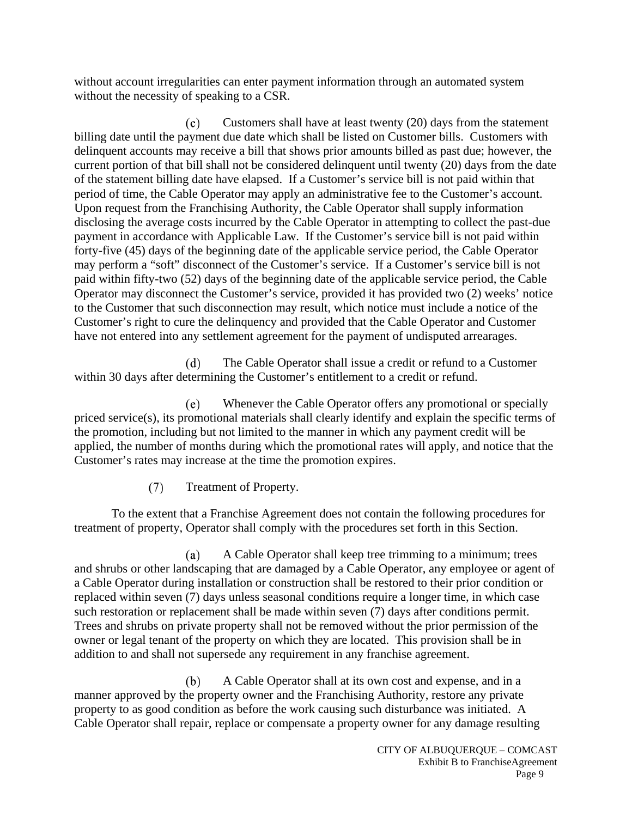without account irregularities can enter payment information through an automated system without the necessity of speaking to a CSR.

Customers shall have at least twenty (20) days from the statement  $(c)$ billing date until the payment due date which shall be listed on Customer bills. Customers with delinquent accounts may receive a bill that shows prior amounts billed as past due; however, the current portion of that bill shall not be considered delinquent until twenty (20) days from the date of the statement billing date have elapsed. If a Customer's service bill is not paid within that period of time, the Cable Operator may apply an administrative fee to the Customer's account. Upon request from the Franchising Authority, the Cable Operator shall supply information disclosing the average costs incurred by the Cable Operator in attempting to collect the past-due payment in accordance with Applicable Law. If the Customer's service bill is not paid within forty-five (45) days of the beginning date of the applicable service period, the Cable Operator may perform a "soft" disconnect of the Customer's service. If a Customer's service bill is not paid within fifty-two (52) days of the beginning date of the applicable service period, the Cable Operator may disconnect the Customer's service, provided it has provided two (2) weeks' notice to the Customer that such disconnection may result, which notice must include a notice of the Customer's right to cure the delinquency and provided that the Cable Operator and Customer have not entered into any settlement agreement for the payment of undisputed arrearages.

 $(d)$ The Cable Operator shall issue a credit or refund to a Customer within 30 days after determining the Customer's entitlement to a credit or refund.

Whenever the Cable Operator offers any promotional or specially (e) priced service(s), its promotional materials shall clearly identify and explain the specific terms of the promotion, including but not limited to the manner in which any payment credit will be applied, the number of months during which the promotional rates will apply, and notice that the Customer's rates may increase at the time the promotion expires.

> $(7)$ Treatment of Property.

To the extent that a Franchise Agreement does not contain the following procedures for treatment of property, Operator shall comply with the procedures set forth in this Section.

A Cable Operator shall keep tree trimming to a minimum; trees (a) and shrubs or other landscaping that are damaged by a Cable Operator, any employee or agent of a Cable Operator during installation or construction shall be restored to their prior condition or replaced within seven (7) days unless seasonal conditions require a longer time, in which case such restoration or replacement shall be made within seven (7) days after conditions permit. Trees and shrubs on private property shall not be removed without the prior permission of the owner or legal tenant of the property on which they are located. This provision shall be in addition to and shall not supersede any requirement in any franchise agreement.

 $(b)$ A Cable Operator shall at its own cost and expense, and in a manner approved by the property owner and the Franchising Authority, restore any private property to as good condition as before the work causing such disturbance was initiated. A Cable Operator shall repair, replace or compensate a property owner for any damage resulting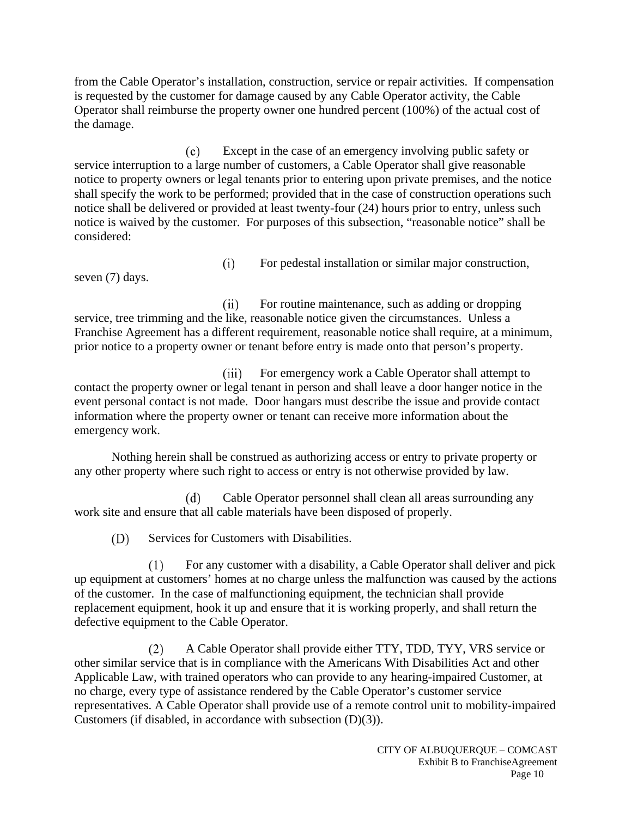from the Cable Operator's installation, construction, service or repair activities. If compensation is requested by the customer for damage caused by any Cable Operator activity, the Cable Operator shall reimburse the property owner one hundred percent (100%) of the actual cost of the damage.

Except in the case of an emergency involving public safety or  $(c)$ service interruption to a large number of customers, a Cable Operator shall give reasonable notice to property owners or legal tenants prior to entering upon private premises, and the notice shall specify the work to be performed; provided that in the case of construction operations such notice shall be delivered or provided at least twenty-four (24) hours prior to entry, unless such notice is waived by the customer. For purposes of this subsection, "reasonable notice" shall be considered:

For pedestal installation or similar major construction,

seven (7) days.

 $(ii)$ For routine maintenance, such as adding or dropping service, tree trimming and the like, reasonable notice given the circumstances. Unless a Franchise Agreement has a different requirement, reasonable notice shall require, at a minimum, prior notice to a property owner or tenant before entry is made onto that person's property.

 $(iii)$ For emergency work a Cable Operator shall attempt to contact the property owner or legal tenant in person and shall leave a door hanger notice in the event personal contact is not made. Door hangars must describe the issue and provide contact information where the property owner or tenant can receive more information about the emergency work.

Nothing herein shall be construed as authorizing access or entry to private property or any other property where such right to access or entry is not otherwise provided by law.

Cable Operator personnel shall clean all areas surrounding any  $(d)$ work site and ensure that all cable materials have been disposed of properly.

(D) Services for Customers with Disabilities.

 $(i)$ 

 $(1)$ For any customer with a disability, a Cable Operator shall deliver and pick up equipment at customers' homes at no charge unless the malfunction was caused by the actions of the customer. In the case of malfunctioning equipment, the technician shall provide replacement equipment, hook it up and ensure that it is working properly, and shall return the defective equipment to the Cable Operator.

A Cable Operator shall provide either TTY, TDD, TYY, VRS service or  $(2)$ other similar service that is in compliance with the Americans With Disabilities Act and other Applicable Law, with trained operators who can provide to any hearing-impaired Customer, at no charge, every type of assistance rendered by the Cable Operator's customer service representatives. A Cable Operator shall provide use of a remote control unit to mobility-impaired Customers (if disabled, in accordance with subsection (D)(3)).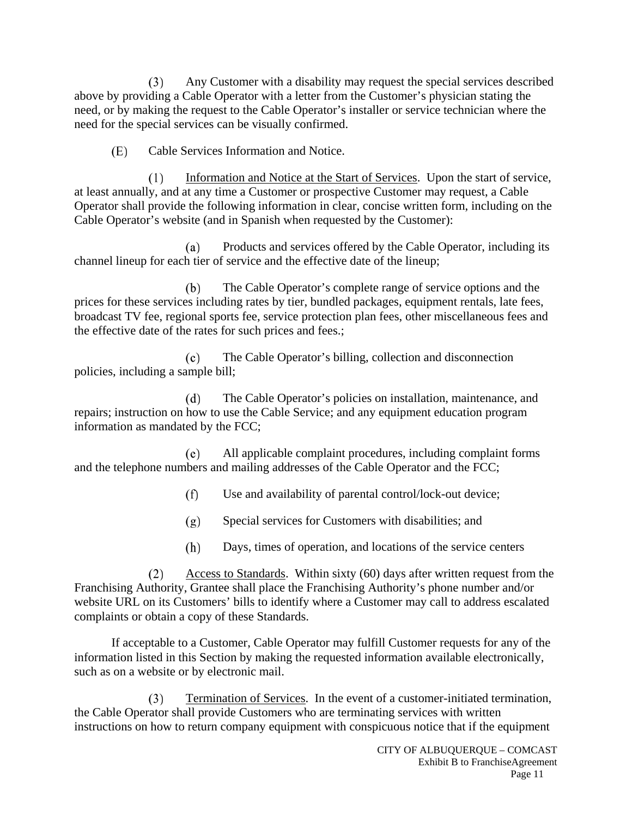Any Customer with a disability may request the special services described  $(3)$ above by providing a Cable Operator with a letter from the Customer's physician stating the need, or by making the request to the Cable Operator's installer or service technician where the need for the special services can be visually confirmed.

Cable Services Information and Notice. (E)

 $(1)$ Information and Notice at the Start of Services. Upon the start of service, at least annually, and at any time a Customer or prospective Customer may request, a Cable Operator shall provide the following information in clear, concise written form, including on the Cable Operator's website (and in Spanish when requested by the Customer):

Products and services offered by the Cable Operator, including its (a) channel lineup for each tier of service and the effective date of the lineup;

The Cable Operator's complete range of service options and the (b) prices for these services including rates by tier, bundled packages, equipment rentals, late fees, broadcast TV fee, regional sports fee, service protection plan fees, other miscellaneous fees and the effective date of the rates for such prices and fees.;

The Cable Operator's billing, collection and disconnection  $(c)$ policies, including a sample bill;

The Cable Operator's policies on installation, maintenance, and  $(d)$ repairs; instruction on how to use the Cable Service; and any equipment education program information as mandated by the FCC;

(e) All applicable complaint procedures, including complaint forms and the telephone numbers and mailing addresses of the Cable Operator and the FCC;

> $(f)$ Use and availability of parental control/lock-out device;

 $(g)$ Special services for Customers with disabilities; and

Days, times of operation, and locations of the service centers (h)

 $(2)$ Access to Standards. Within sixty (60) days after written request from the Franchising Authority, Grantee shall place the Franchising Authority's phone number and/or website URL on its Customers' bills to identify where a Customer may call to address escalated complaints or obtain a copy of these Standards.

If acceptable to a Customer, Cable Operator may fulfill Customer requests for any of the information listed in this Section by making the requested information available electronically, such as on a website or by electronic mail.

Termination of Services. In the event of a customer-initiated termination,  $(3)$ the Cable Operator shall provide Customers who are terminating services with written instructions on how to return company equipment with conspicuous notice that if the equipment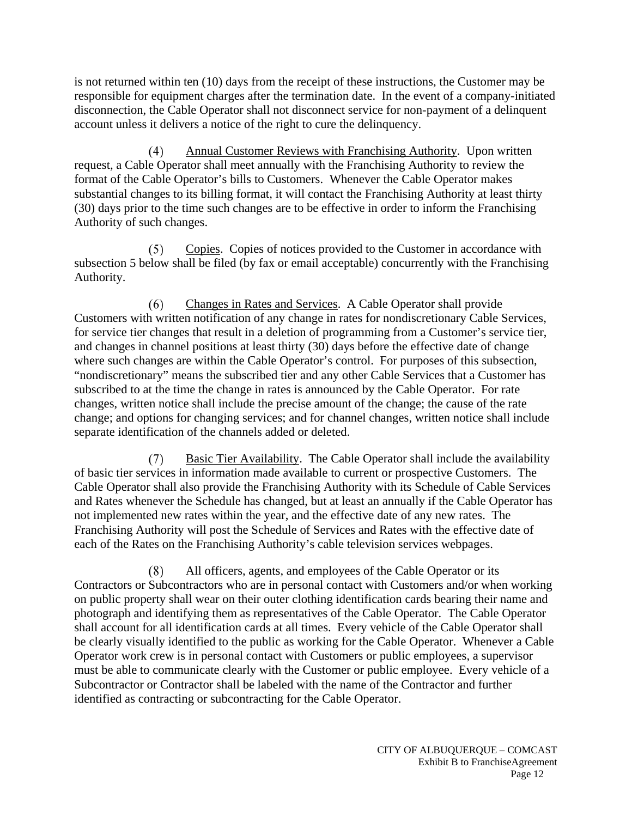is not returned within ten (10) days from the receipt of these instructions, the Customer may be responsible for equipment charges after the termination date. In the event of a company-initiated disconnection, the Cable Operator shall not disconnect service for non-payment of a delinquent account unless it delivers a notice of the right to cure the delinquency.

Annual Customer Reviews with Franchising Authority. Upon written  $(4)$ request, a Cable Operator shall meet annually with the Franchising Authority to review the format of the Cable Operator's bills to Customers. Whenever the Cable Operator makes substantial changes to its billing format, it will contact the Franchising Authority at least thirty (30) days prior to the time such changes are to be effective in order to inform the Franchising Authority of such changes.

 $(5)$ Copies. Copies of notices provided to the Customer in accordance with subsection 5 below shall be filed (by fax or email acceptable) concurrently with the Franchising Authority.

Changes in Rates and Services. A Cable Operator shall provide  $(6)$ Customers with written notification of any change in rates for nondiscretionary Cable Services, for service tier changes that result in a deletion of programming from a Customer's service tier, and changes in channel positions at least thirty (30) days before the effective date of change where such changes are within the Cable Operator's control. For purposes of this subsection, "nondiscretionary" means the subscribed tier and any other Cable Services that a Customer has subscribed to at the time the change in rates is announced by the Cable Operator. For rate changes, written notice shall include the precise amount of the change; the cause of the rate change; and options for changing services; and for channel changes, written notice shall include separate identification of the channels added or deleted.

 $(7)$ Basic Tier Availability. The Cable Operator shall include the availability of basic tier services in information made available to current or prospective Customers. The Cable Operator shall also provide the Franchising Authority with its Schedule of Cable Services and Rates whenever the Schedule has changed, but at least an annually if the Cable Operator has not implemented new rates within the year, and the effective date of any new rates. The Franchising Authority will post the Schedule of Services and Rates with the effective date of each of the Rates on the Franchising Authority's cable television services webpages.

All officers, agents, and employees of the Cable Operator or its  $(8)$ Contractors or Subcontractors who are in personal contact with Customers and/or when working on public property shall wear on their outer clothing identification cards bearing their name and photograph and identifying them as representatives of the Cable Operator. The Cable Operator shall account for all identification cards at all times. Every vehicle of the Cable Operator shall be clearly visually identified to the public as working for the Cable Operator. Whenever a Cable Operator work crew is in personal contact with Customers or public employees, a supervisor must be able to communicate clearly with the Customer or public employee. Every vehicle of a Subcontractor or Contractor shall be labeled with the name of the Contractor and further identified as contracting or subcontracting for the Cable Operator.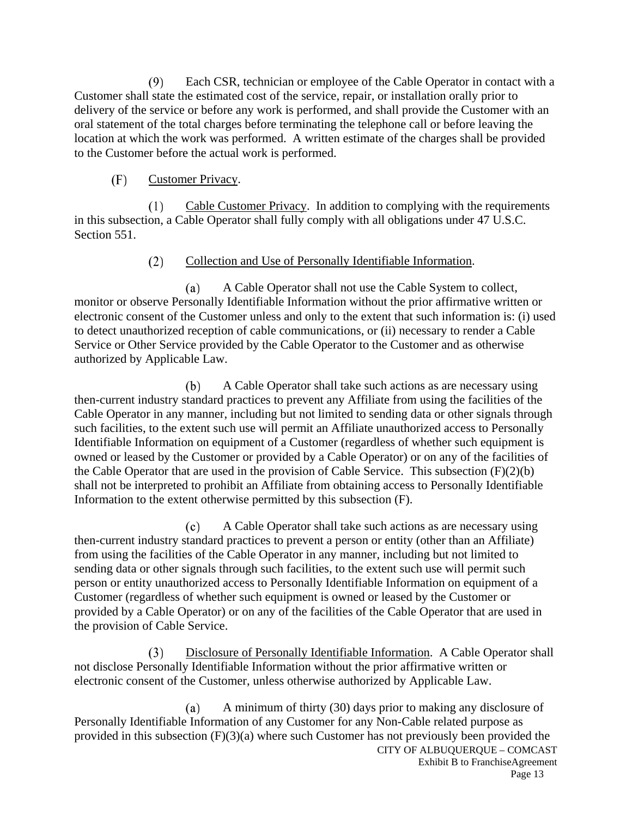Each CSR, technician or employee of the Cable Operator in contact with a  $(9)$ Customer shall state the estimated cost of the service, repair, or installation orally prior to delivery of the service or before any work is performed, and shall provide the Customer with an oral statement of the total charges before terminating the telephone call or before leaving the location at which the work was performed. A written estimate of the charges shall be provided to the Customer before the actual work is performed.

#### $(F)$ Customer Privacy.

Cable Customer Privacy. In addition to complying with the requirements  $(1)$ in this subsection, a Cable Operator shall fully comply with all obligations under 47 U.S.C. Section 551.

#### $(2)$ Collection and Use of Personally Identifiable Information.

A Cable Operator shall not use the Cable System to collect, (a) monitor or observe Personally Identifiable Information without the prior affirmative written or electronic consent of the Customer unless and only to the extent that such information is: (i) used to detect unauthorized reception of cable communications, or (ii) necessary to render a Cable Service or Other Service provided by the Cable Operator to the Customer and as otherwise authorized by Applicable Law.

(b) A Cable Operator shall take such actions as are necessary using then-current industry standard practices to prevent any Affiliate from using the facilities of the Cable Operator in any manner, including but not limited to sending data or other signals through such facilities, to the extent such use will permit an Affiliate unauthorized access to Personally Identifiable Information on equipment of a Customer (regardless of whether such equipment is owned or leased by the Customer or provided by a Cable Operator) or on any of the facilities of the Cable Operator that are used in the provision of Cable Service. This subsection  $(F)(2)(b)$ shall not be interpreted to prohibit an Affiliate from obtaining access to Personally Identifiable Information to the extent otherwise permitted by this subsection (F).

 $(c)$ A Cable Operator shall take such actions as are necessary using then-current industry standard practices to prevent a person or entity (other than an Affiliate) from using the facilities of the Cable Operator in any manner, including but not limited to sending data or other signals through such facilities, to the extent such use will permit such person or entity unauthorized access to Personally Identifiable Information on equipment of a Customer (regardless of whether such equipment is owned or leased by the Customer or provided by a Cable Operator) or on any of the facilities of the Cable Operator that are used in the provision of Cable Service.

Disclosure of Personally Identifiable Information. A Cable Operator shall  $(3)$ not disclose Personally Identifiable Information without the prior affirmative written or electronic consent of the Customer, unless otherwise authorized by Applicable Law.

A minimum of thirty (30) days prior to making any disclosure of (a) Personally Identifiable Information of any Customer for any Non-Cable related purpose as provided in this subsection (F)(3)(a) where such Customer has not previously been provided the CITY OF ALBUQUERQUE – COMCAST Exhibit B to FranchiseAgreement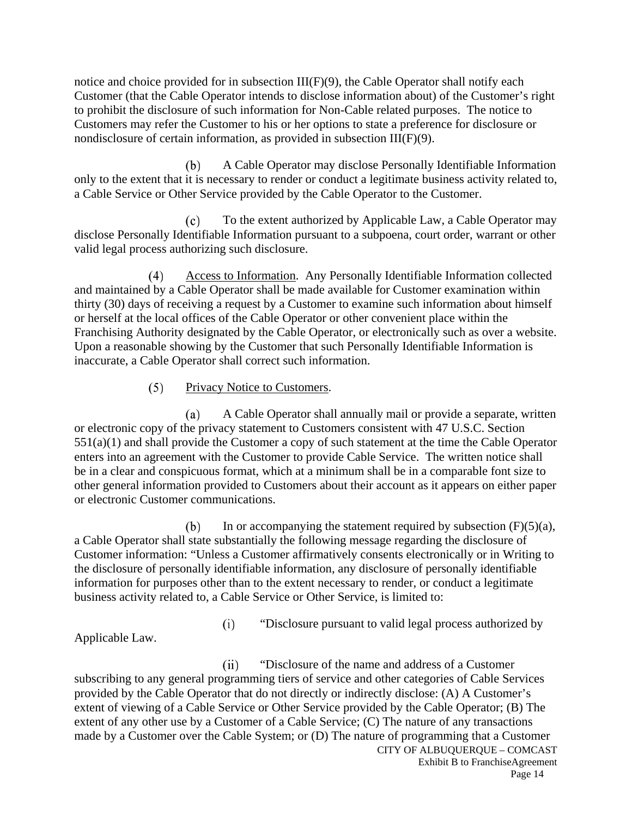notice and choice provided for in subsection  $III(F)(9)$ , the Cable Operator shall notify each Customer (that the Cable Operator intends to disclose information about) of the Customer's right to prohibit the disclosure of such information for Non-Cable related purposes. The notice to Customers may refer the Customer to his or her options to state a preference for disclosure or nondisclosure of certain information, as provided in subsection III(F)(9).

(b) A Cable Operator may disclose Personally Identifiable Information only to the extent that it is necessary to render or conduct a legitimate business activity related to, a Cable Service or Other Service provided by the Cable Operator to the Customer.

 $(c)$ To the extent authorized by Applicable Law, a Cable Operator may disclose Personally Identifiable Information pursuant to a subpoena, court order, warrant or other valid legal process authorizing such disclosure.

 $(4)$ Access to Information. Any Personally Identifiable Information collected and maintained by a Cable Operator shall be made available for Customer examination within thirty (30) days of receiving a request by a Customer to examine such information about himself or herself at the local offices of the Cable Operator or other convenient place within the Franchising Authority designated by the Cable Operator, or electronically such as over a website. Upon a reasonable showing by the Customer that such Personally Identifiable Information is inaccurate, a Cable Operator shall correct such information.

#### $(5)$ Privacy Notice to Customers.

A Cable Operator shall annually mail or provide a separate, written  $(a)$ or electronic copy of the privacy statement to Customers consistent with 47 U.S.C. Section 551(a)(1) and shall provide the Customer a copy of such statement at the time the Cable Operator enters into an agreement with the Customer to provide Cable Service. The written notice shall be in a clear and conspicuous format, which at a minimum shall be in a comparable font size to other general information provided to Customers about their account as it appears on either paper or electronic Customer communications.

(b) In or accompanying the statement required by subsection  $(F)(5)(a)$ , a Cable Operator shall state substantially the following message regarding the disclosure of Customer information: "Unless a Customer affirmatively consents electronically or in Writing to the disclosure of personally identifiable information, any disclosure of personally identifiable information for purposes other than to the extent necessary to render, or conduct a legitimate business activity related to, a Cable Service or Other Service, is limited to:

Applicable Law.

 $(i)$ "Disclosure pursuant to valid legal process authorized by

"Disclosure of the name and address of a Customer  $(ii)$ subscribing to any general programming tiers of service and other categories of Cable Services provided by the Cable Operator that do not directly or indirectly disclose: (A) A Customer's extent of viewing of a Cable Service or Other Service provided by the Cable Operator; (B) The extent of any other use by a Customer of a Cable Service; (C) The nature of any transactions made by a Customer over the Cable System; or (D) The nature of programming that a Customer CITY OF ALBUQUERQUE – COMCAST

Exhibit B to FranchiseAgreement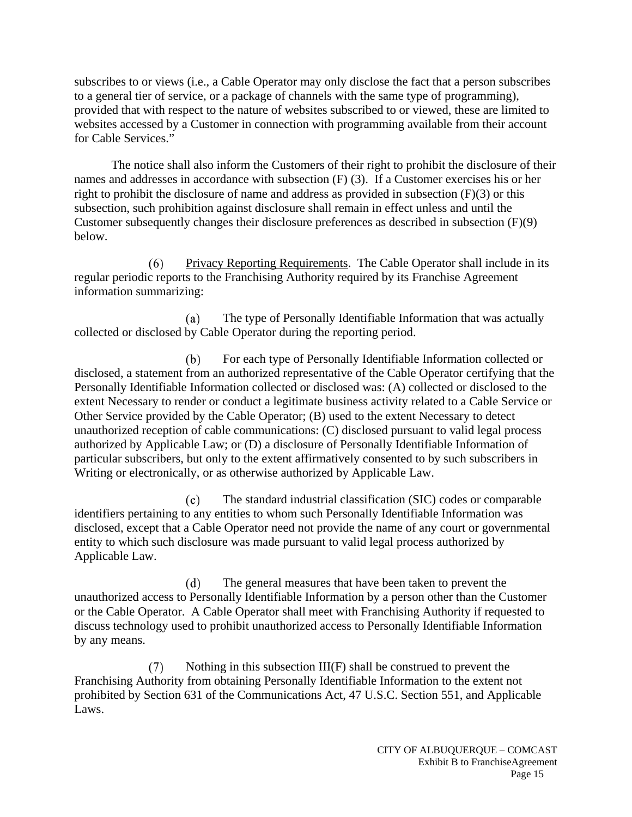subscribes to or views (i.e., a Cable Operator may only disclose the fact that a person subscribes to a general tier of service, or a package of channels with the same type of programming), provided that with respect to the nature of websites subscribed to or viewed, these are limited to websites accessed by a Customer in connection with programming available from their account for Cable Services."

The notice shall also inform the Customers of their right to prohibit the disclosure of their names and addresses in accordance with subsection (F) (3). If a Customer exercises his or her right to prohibit the disclosure of name and address as provided in subsection (F)(3) or this subsection, such prohibition against disclosure shall remain in effect unless and until the Customer subsequently changes their disclosure preferences as described in subsection (F)(9) below.

Privacy Reporting Requirements. The Cable Operator shall include in its  $(6)$ regular periodic reports to the Franchising Authority required by its Franchise Agreement information summarizing:

 $(a)$ The type of Personally Identifiable Information that was actually collected or disclosed by Cable Operator during the reporting period.

For each type of Personally Identifiable Information collected or (b) disclosed, a statement from an authorized representative of the Cable Operator certifying that the Personally Identifiable Information collected or disclosed was: (A) collected or disclosed to the extent Necessary to render or conduct a legitimate business activity related to a Cable Service or Other Service provided by the Cable Operator; (B) used to the extent Necessary to detect unauthorized reception of cable communications: (C) disclosed pursuant to valid legal process authorized by Applicable Law; or (D) a disclosure of Personally Identifiable Information of particular subscribers, but only to the extent affirmatively consented to by such subscribers in Writing or electronically, or as otherwise authorized by Applicable Law.

 $(c)$ The standard industrial classification (SIC) codes or comparable identifiers pertaining to any entities to whom such Personally Identifiable Information was disclosed, except that a Cable Operator need not provide the name of any court or governmental entity to which such disclosure was made pursuant to valid legal process authorized by Applicable Law.

 $(d)$ The general measures that have been taken to prevent the unauthorized access to Personally Identifiable Information by a person other than the Customer or the Cable Operator. A Cable Operator shall meet with Franchising Authority if requested to discuss technology used to prohibit unauthorized access to Personally Identifiable Information by any means.

Nothing in this subsection III(F) shall be construed to prevent the  $(7)$ Franchising Authority from obtaining Personally Identifiable Information to the extent not prohibited by Section 631 of the Communications Act, 47 U.S.C. Section 551, and Applicable Laws.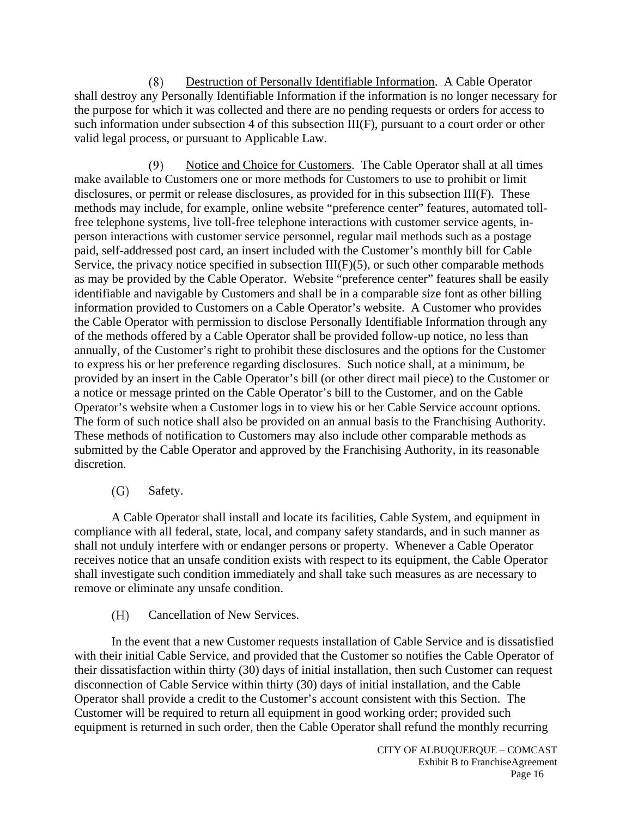$(8)$ Destruction of Personally Identifiable Information. A Cable Operator shall destroy any Personally Identifiable Information if the information is no longer necessary for the purpose for which it was collected and there are no pending requests or orders for access to such information under subsection 4 of this subsection III(F), pursuant to a court order or other valid legal process, or pursuant to Applicable Law.

 $(9)$ Notice and Choice for Customers. The Cable Operator shall at all times make available to Customers one or more methods for Customers to use to prohibit or limit disclosures, or permit or release disclosures, as provided for in this subsection III(F). These methods may include, for example, online website "preference center" features, automated tollfree telephone systems, live toll-free telephone interactions with customer service agents, inperson interactions with customer service personnel, regular mail methods such as a postage paid, self-addressed post card, an insert included with the Customer's monthly bill for Cable Service, the privacy notice specified in subsection  $III(F)(5)$ , or such other comparable methods as may be provided by the Cable Operator. Website "preference center" features shall be easily identifiable and navigable by Customers and shall be in a comparable size font as other billing information provided to Customers on a Cable Operator's website. A Customer who provides the Cable Operator with permission to disclose Personally Identifiable Information through any of the methods offered by a Cable Operator shall be provided follow-up notice, no less than annually, of the Customer's right to prohibit these disclosures and the options for the Customer to express his or her preference regarding disclosures. Such notice shall, at a minimum, be provided by an insert in the Cable Operator's bill (or other direct mail piece) to the Customer or a notice or message printed on the Cable Operator's bill to the Customer, and on the Cable Operator's website when a Customer logs in to view his or her Cable Service account options. The form of such notice shall also be provided on an annual basis to the Franchising Authority. These methods of notification to Customers may also include other comparable methods as submitted by the Cable Operator and approved by the Franchising Authority, in its reasonable discretion.

#### Safety. (G)

A Cable Operator shall install and locate its facilities, Cable System, and equipment in compliance with all federal, state, local, and company safety standards, and in such manner as shall not unduly interfere with or endanger persons or property. Whenever a Cable Operator receives notice that an unsafe condition exists with respect to its equipment, the Cable Operator shall investigate such condition immediately and shall take such measures as are necessary to remove or eliminate any unsafe condition.

Cancellation of New Services. (H)

In the event that a new Customer requests installation of Cable Service and is dissatisfied with their initial Cable Service, and provided that the Customer so notifies the Cable Operator of their dissatisfaction within thirty (30) days of initial installation, then such Customer can request disconnection of Cable Service within thirty (30) days of initial installation, and the Cable Operator shall provide a credit to the Customer's account consistent with this Section. The Customer will be required to return all equipment in good working order; provided such equipment is returned in such order, then the Cable Operator shall refund the monthly recurring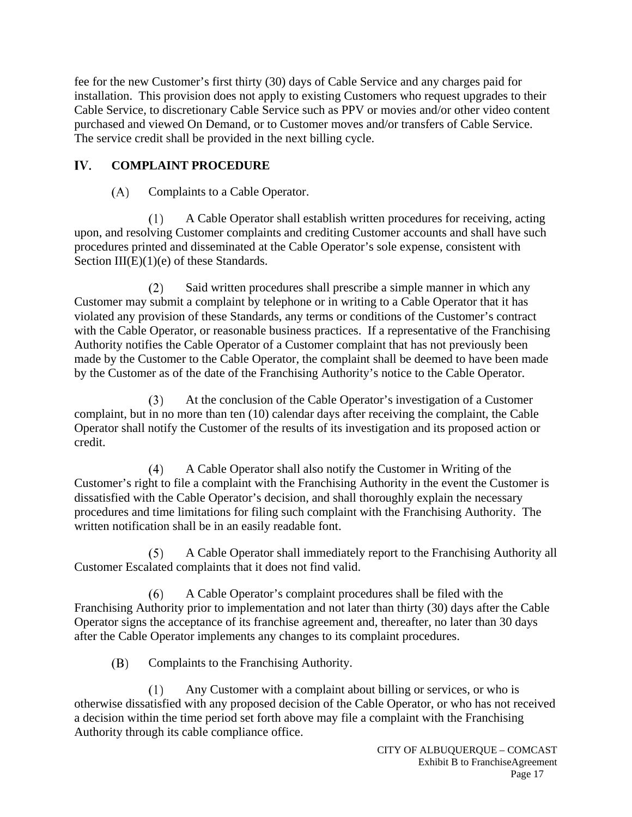fee for the new Customer's first thirty (30) days of Cable Service and any charges paid for installation. This provision does not apply to existing Customers who request upgrades to their Cable Service, to discretionary Cable Service such as PPV or movies and/or other video content purchased and viewed On Demand, or to Customer moves and/or transfers of Cable Service. The service credit shall be provided in the next billing cycle.

## IV. **COMPLAINT PROCEDURE**

## $(A)$ Complaints to a Cable Operator.

A Cable Operator shall establish written procedures for receiving, acting  $(1)$ upon, and resolving Customer complaints and crediting Customer accounts and shall have such procedures printed and disseminated at the Cable Operator's sole expense, consistent with Section  $III(E)(1)(e)$  of these Standards.

Said written procedures shall prescribe a simple manner in which any  $(2)$ Customer may submit a complaint by telephone or in writing to a Cable Operator that it has violated any provision of these Standards, any terms or conditions of the Customer's contract with the Cable Operator, or reasonable business practices. If a representative of the Franchising Authority notifies the Cable Operator of a Customer complaint that has not previously been made by the Customer to the Cable Operator, the complaint shall be deemed to have been made by the Customer as of the date of the Franchising Authority's notice to the Cable Operator.

At the conclusion of the Cable Operator's investigation of a Customer  $(3)$ complaint, but in no more than ten (10) calendar days after receiving the complaint, the Cable Operator shall notify the Customer of the results of its investigation and its proposed action or credit.

 $(4)$ A Cable Operator shall also notify the Customer in Writing of the Customer's right to file a complaint with the Franchising Authority in the event the Customer is dissatisfied with the Cable Operator's decision, and shall thoroughly explain the necessary procedures and time limitations for filing such complaint with the Franchising Authority. The written notification shall be in an easily readable font.

A Cable Operator shall immediately report to the Franchising Authority all  $(5)$ Customer Escalated complaints that it does not find valid.

A Cable Operator's complaint procedures shall be filed with the  $(6)$ Franchising Authority prior to implementation and not later than thirty (30) days after the Cable Operator signs the acceptance of its franchise agreement and, thereafter, no later than 30 days after the Cable Operator implements any changes to its complaint procedures.

(B) Complaints to the Franchising Authority.

Any Customer with a complaint about billing or services, or who is  $(1)$ otherwise dissatisfied with any proposed decision of the Cable Operator, or who has not received a decision within the time period set forth above may file a complaint with the Franchising Authority through its cable compliance office.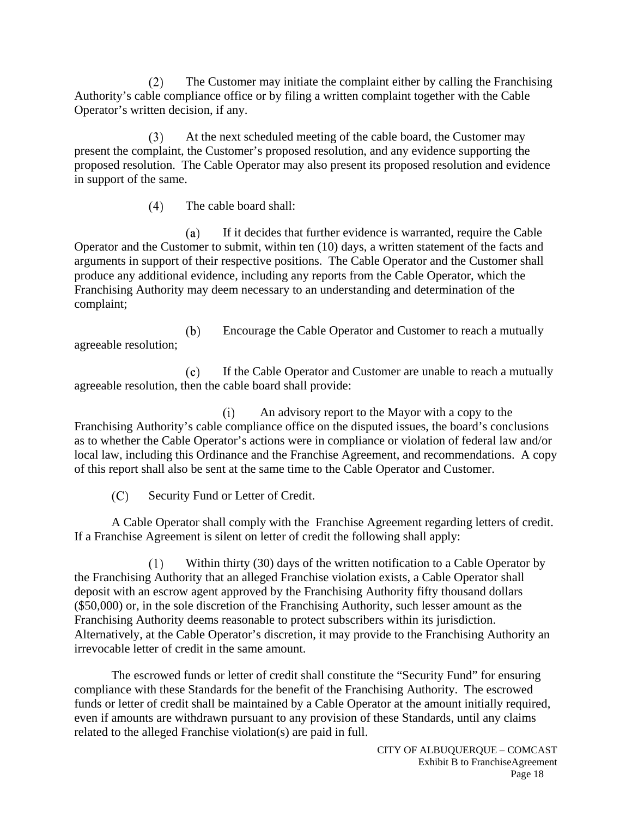$(2)$ The Customer may initiate the complaint either by calling the Franchising Authority's cable compliance office or by filing a written complaint together with the Cable Operator's written decision, if any.

At the next scheduled meeting of the cable board, the Customer may  $(3)$ present the complaint, the Customer's proposed resolution, and any evidence supporting the proposed resolution. The Cable Operator may also present its proposed resolution and evidence in support of the same.

> The cable board shall:  $(4)$

 $(a)$ If it decides that further evidence is warranted, require the Cable Operator and the Customer to submit, within ten (10) days, a written statement of the facts and arguments in support of their respective positions. The Cable Operator and the Customer shall produce any additional evidence, including any reports from the Cable Operator, which the Franchising Authority may deem necessary to an understanding and determination of the complaint;

Encourage the Cable Operator and Customer to reach a mutually (b) agreeable resolution;

If the Cable Operator and Customer are unable to reach a mutually  $(c)$ agreeable resolution, then the cable board shall provide:

An advisory report to the Mayor with a copy to the  $(i)$ Franchising Authority's cable compliance office on the disputed issues, the board's conclusions as to whether the Cable Operator's actions were in compliance or violation of federal law and/or local law, including this Ordinance and the Franchise Agreement, and recommendations. A copy of this report shall also be sent at the same time to the Cable Operator and Customer.

 $(C)$ Security Fund or Letter of Credit.

A Cable Operator shall comply with the Franchise Agreement regarding letters of credit. If a Franchise Agreement is silent on letter of credit the following shall apply:

Within thirty (30) days of the written notification to a Cable Operator by  $(1)$ the Franchising Authority that an alleged Franchise violation exists, a Cable Operator shall deposit with an escrow agent approved by the Franchising Authority fifty thousand dollars (\$50,000) or, in the sole discretion of the Franchising Authority, such lesser amount as the Franchising Authority deems reasonable to protect subscribers within its jurisdiction. Alternatively, at the Cable Operator's discretion, it may provide to the Franchising Authority an irrevocable letter of credit in the same amount.

The escrowed funds or letter of credit shall constitute the "Security Fund" for ensuring compliance with these Standards for the benefit of the Franchising Authority. The escrowed funds or letter of credit shall be maintained by a Cable Operator at the amount initially required, even if amounts are withdrawn pursuant to any provision of these Standards, until any claims related to the alleged Franchise violation(s) are paid in full.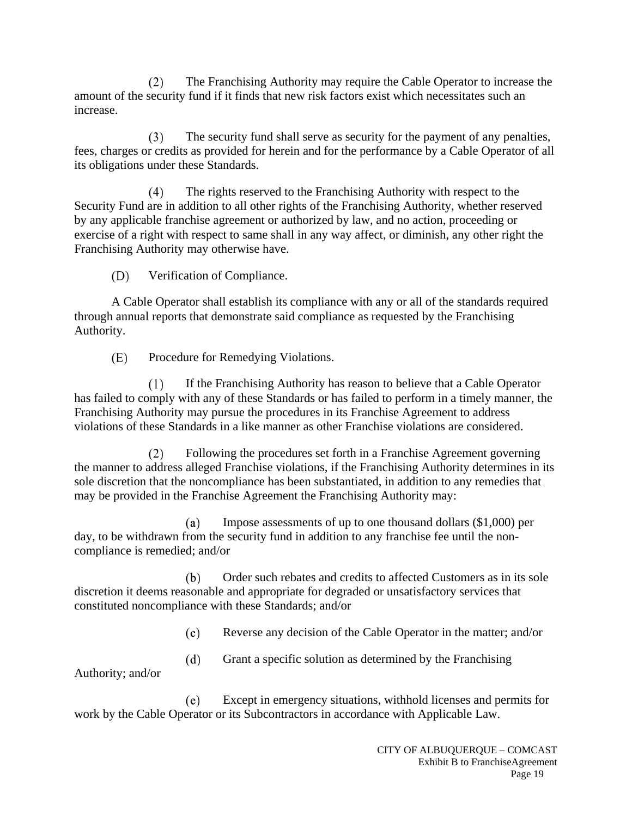$(2)$ The Franchising Authority may require the Cable Operator to increase the amount of the security fund if it finds that new risk factors exist which necessitates such an increase.

 $(3)$ The security fund shall serve as security for the payment of any penalties, fees, charges or credits as provided for herein and for the performance by a Cable Operator of all its obligations under these Standards.

The rights reserved to the Franchising Authority with respect to the  $(4)$ Security Fund are in addition to all other rights of the Franchising Authority, whether reserved by any applicable franchise agreement or authorized by law, and no action, proceeding or exercise of a right with respect to same shall in any way affect, or diminish, any other right the Franchising Authority may otherwise have.

(D) Verification of Compliance.

A Cable Operator shall establish its compliance with any or all of the standards required through annual reports that demonstrate said compliance as requested by the Franchising Authority.

(E) Procedure for Remedying Violations.

 $(1)$ If the Franchising Authority has reason to believe that a Cable Operator has failed to comply with any of these Standards or has failed to perform in a timely manner, the Franchising Authority may pursue the procedures in its Franchise Agreement to address violations of these Standards in a like manner as other Franchise violations are considered.

 $(2)$ Following the procedures set forth in a Franchise Agreement governing the manner to address alleged Franchise violations, if the Franchising Authority determines in its sole discretion that the noncompliance has been substantiated, in addition to any remedies that may be provided in the Franchise Agreement the Franchising Authority may:

Impose assessments of up to one thousand dollars (\$1,000) per (a) day, to be withdrawn from the security fund in addition to any franchise fee until the noncompliance is remedied; and/or

(b) Order such rebates and credits to affected Customers as in its sole discretion it deems reasonable and appropriate for degraded or unsatisfactory services that constituted noncompliance with these Standards; and/or

> Reverse any decision of the Cable Operator in the matter; and/or  $(c)$

 $(d)$ Grant a specific solution as determined by the Franchising

Authority; and/or

Except in emergency situations, withhold licenses and permits for  $(e)$ work by the Cable Operator or its Subcontractors in accordance with Applicable Law.